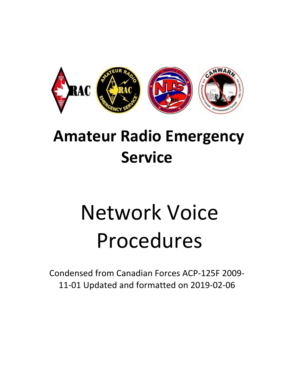

# **Amateur Radio Emergency Service**

# Network Voice Procedures

Condensed from Canadian Forces ACP-125F 2009-11-01 Updated and formatted on 2019-02-06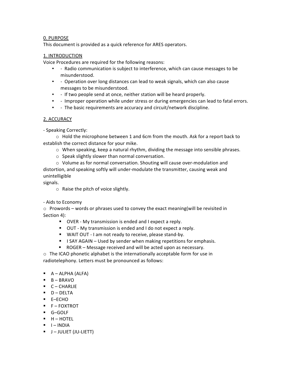### 0. PURPOSE

This document is provided as a quick reference for ARES operators.

# 1. INTRODUCTION

Voice Procedures are required for the following reasons:

- - Radio communication is subject to interference, which can cause messages to be misunderstood.
- - Operation over long distances can lead to weak signals, which can also cause messages to be misunderstood.
- - If two people send at once, neither station will be heard properly.
- - Improper operation while under stress or during emergencies can lead to fatal errors.
- - The basic requirements are accuracy and circuit/network discipline.

# 2. ACCURACY

- Speaking Correctly:

 $\circ$  Hold the microphone between 1 and 6cm from the mouth. Ask for a report back to establish the correct distance for your mike.

- o When speaking, keep a natural rhythm, dividing the message into sensible phrases.
- o Speak slightly slower than normal conversation.

 o Volume as for normal conversation. Shouting will cause over-modulation and distortion, and speaking softly will under-modulate the transmitter, causing weak and unintelligible 

signals.

o Raise the pitch of voice slightly. 

- Aids to Economy

 $\circ$  Prowords – words or phrases used to convey the exact meaning(will be revisited in Section 4):

- " OVER My transmission is ended and I expect a reply.
- OUT My transmission is ended and I do not expect a reply.
- " WAIT OUT I am not ready to receive, please stand-by.
- $\blacksquare$  I SAY AGAIN Used by sender when making repetitions for emphasis.
- ROGER Message received and will be acted upon as necessary.
- o The ICAO phonetic alphabet is the internationally acceptable form for use in radiotelephony. Letters must be pronounced as follows:
- $\blacksquare$   $A ALPHA$  (ALFA)
- $\blacksquare$  B BRAVO
- $\blacksquare$   $C$  CHARLIE
- $\blacksquare$  D DELTA
- ! E–ECHO
- $\blacksquare$  F FOXTROT
- ! G–GOLF
- $H HOTEL$
- $\blacksquare$   $\blacksquare$  INDIA
- **J** JULIET (JU-LIETT)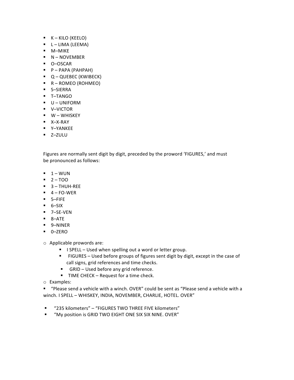- $K K<sub>1</sub>$ KILO (KEELO)
- $\blacksquare$  L LIMA (LEEMA)
- ! M–MIKE
- **N** NOVEMBER
- ! O–OSCAR
- $\blacksquare$  P PAPA (PAHPAH)
- **Q** QUEBEC (KWIBECK)
- $\blacksquare$  R ROMEO (ROHMEO)
- ! S–SIERRA
- ! T–TANGO
- **U** UNIFORM
- ! V–VICTOR
- $\blacksquare$  W WHISKEY
- ! X–X-RAY
- ! Y–YANKEE
- ! Z–ZULU

Figures are normally sent digit by digit, preceded by the proword 'FIGURES,' and must be pronounced as follows:

- $-1 WUN$
- $-2 TOO$
- $-3 THUH-REE$
- $-4 FO-WER$
- ! 5–FIFE
- $-6-SIX$
- ! 7–SE-VEN
- ! 8–ATE
- ! 9–NINER
- ! 0–ZERO

o Applicable prowords are:

- I SPELL Used when spelling out a word or letter group.
- " FIGURES Used before groups of figures sent digit by digit, except in the case of call signs, grid references and time checks.
- GRID Used before any grid reference.
- **TIME CHECK** Request for a time check.
- o Examples:

" "Please send a vehicle with a winch. OVER" could be sent as "Please send a vehicle with a winch. I SPELL - WHISKEY, INDIA, NOVEMBER, CHARLIE, HOTEL. OVER"

- "235 kilometers" "FIGURES TWO THREE FIVE kilometers"
- **"** "My position is GRID TWO EIGHT ONE SIX SIX NINE. OVER"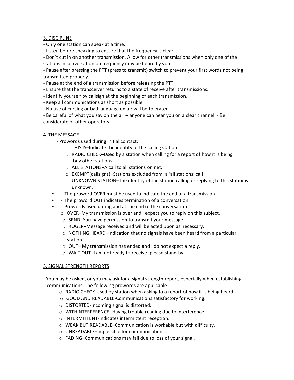#### 3. DISCIPLINE

- Only one station can speak at a time.
- Listen before speaking to ensure that the frequency is clear.

- Don't cut in on another transmission. Allow for other transmissions when only one of the stations in conversation on frequency may be heard by you.

- Pause after pressing the PTT (press to transmit) switch to prevent your first words not being transmitted properly.

- Pause at the end of a transmission before releasing the PTT.

- Ensure that the transceiver returns to a state of receive after transmissions.
- Identify yourself by callsign at the beginning of each transmission.
- Keep all communications as short as possible.
- No use of cursing or bad language on air will be tolerated.

- Be careful of what you say on the air – anyone can hear you on a clear channel. - Be considerate of other operators.

#### 4. THE MESSAGE

- Prowords used during initial contact:
	- o THIS IS–Indicate the identity of the calling station
	- $\circ$  RADIO CHECK–Used by a station when calling for a report of how it is being buy other stations
	- o ALL STATIONS–A call to all stations on net.
	- o EXEMPT(callsigns)–Stations excluded from, a 'all stations' call
	- $\circ$  UNKNOWN STATION–The identity of the station calling or replying to this stationis unknown.
- - The proword OVER must be used to indicate the end of a transmission.
- - The proword OUT indicates termination of a conversation.
- - Prowords used during and at the end of the conversation:
	- o OVER–My transmission is over and I expect you to reply on this subject.
	- o SEND–You have permission to transmit your message.
	- o ROGER–Message received and will be acted upon as necessary.
	- $\circ$  NOTHING HEARD–Indication that no signals have been heard from a particular station.
	- o OUT– My transmission has ended and I do not expect a reply.
	- o WAIT OUT–I am not ready to receive, please stand-by.

#### 5. SIGNAL STRENGTH REPORTS

- You may be asked, or you may ask for a signal strength report, especially when establishing communications. The following prowords are applicable:
	- $\circ$  RADIO CHECK-Used by station when asking fo a report of how it is being heard.
	- o GOOD AND READABLE-Communications satisfactory for working.
	- o DISTORTED-Incoming signal is distorted.
	- o WITHINTERFERENCE- Having trouble reading due to interference.
	- o INTERMITTENT-Indicates intermittent reception.
	- o WEAK BUT READABLE–Communication is workable but with difficulty.
	- o UNREADABLE–Impossible for communications.
	- o FADING–Communications may fail due to loss of your signal.